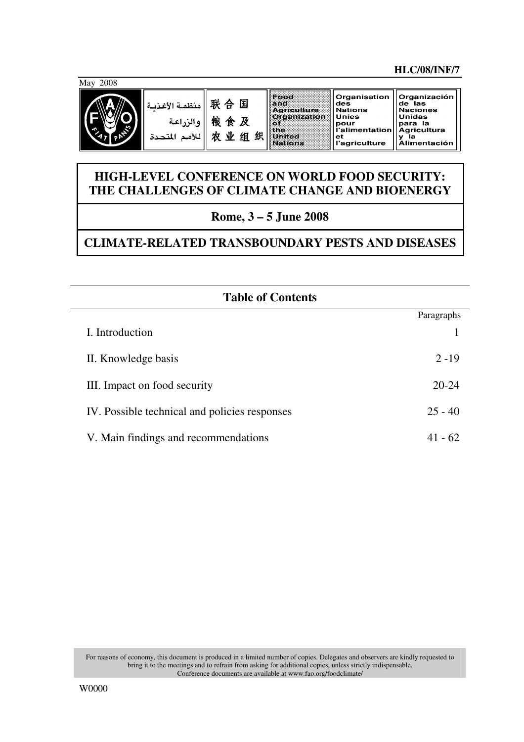#### **HLC/08/INF/7**

May 2008



| 联 合 国    منظمة الأغذية<br> 戦 食 及   <br>   للأمم المتحدة |  |
|---------------------------------------------------------|--|
|                                                         |  |

| priculture<br>rganizatio |
|--------------------------|
|                          |
|                          |
| ilted<br>Hons            |
|                          |

## **HIGH-LEVEL CONFERENCE ON WORLD FOOD SECURITY: THE CHALLENGES OF CLIMATE CHANGE AND BIOENERGY**

# **Rome, 3 – 5 June 2008**

# **CLIMATE-RELATED TRANSBOUNDARY PESTS AND DISEASES**

| <b>Table of Contents</b>                      |            |
|-----------------------------------------------|------------|
|                                               | Paragraphs |
| I. Introduction                               |            |
| II. Knowledge basis                           | $2 - 19$   |
| III. Impact on food security                  | $20 - 24$  |
| IV. Possible technical and policies responses | $25 - 40$  |
| V. Main findings and recommendations          | 41 - 62    |

For reasons of economy, this document is produced in a limited number of copies. Delegates and observers are kindly requested to bring it to the meetings and to refrain from asking for additional copies, unless strictly indispensable. Conference documents are available at www.fao.org/foodclimate/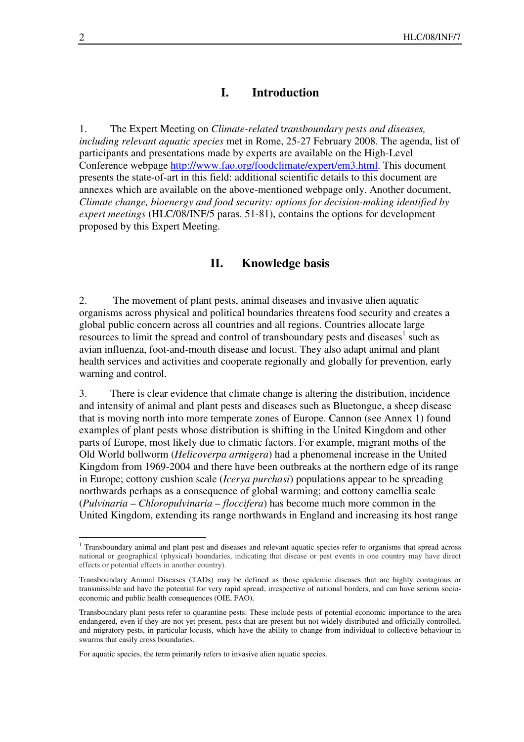#### **I. Introduction**

1. The Expert Meeting on *Climate-related* t*ransboundary pests and diseases, including relevant aquatic species* met in Rome, 25-27 February 2008. The agenda, list of participants and presentations made by experts are available on the High-Level Conference webpage http://www.fao.org/foodclimate/expert/em3.html. This document presents the state-of-art in this field: additional scientific details to this document are annexes which are available on the above-mentioned webpage only. Another document, *Climate change, bioenergy and food security: options for decision-making identified by expert meetings* (HLC/08/INF/5 paras. 51-81), contains the options for development proposed by this Expert Meeting.

#### **II. Knowledge basis**

2. The movement of plant pests, animal diseases and invasive alien aquatic organisms across physical and political boundaries threatens food security and creates a global public concern across all countries and all regions. Countries allocate large resources to limit the spread and control of transboundary pests and diseases<sup>1</sup> such as avian influenza, foot-and-mouth disease and locust. They also adapt animal and plant health services and activities and cooperate regionally and globally for prevention, early warning and control.

3. There is clear evidence that climate change is altering the distribution, incidence and intensity of animal and plant pests and diseases such as Bluetongue, a sheep disease that is moving north into more temperate zones of Europe. Cannon (see Annex 1) found examples of plant pests whose distribution is shifting in the United Kingdom and other parts of Europe, most likely due to climatic factors. For example, migrant moths of the Old World bollworm (*Helicoverpa armigera*) had a phenomenal increase in the United Kingdom from 1969-2004 and there have been outbreaks at the northern edge of its range in Europe; cottony cushion scale (*Icerya purchasi*) populations appear to be spreading northwards perhaps as a consequence of global warming; and cottony camellia scale (*Pulvinaria – Chloropulvinaria – floccifera*) has become much more common in the United Kingdom, extending its range northwards in England and increasing its host range

<sup>&</sup>lt;sup>1</sup> Transboundary animal and plant pest and diseases and relevant aquatic species refer to organisms that spread across national or geographical (physical) boundaries, indicating that disease or pest events in one country may have direct effects or potential effects in another country).

Transboundary Animal Diseases (TADs) may be defined as those epidemic diseases that are highly contagious or transmissible and have the potential for very rapid spread, irrespective of national borders, and can have serious socioeconomic and public health consequences (OIE, FAO).

Transboundary plant pests refer to quarantine pests. These include pests of potential economic importance to the area endangered, even if they are not yet present, pests that are present but not widely distributed and officially controlled, and migratory pests, in particular locusts, which have the ability to change from individual to collective behaviour in swarms that easily cross boundaries.

For aquatic species, the term primarily refers to invasive alien aquatic species.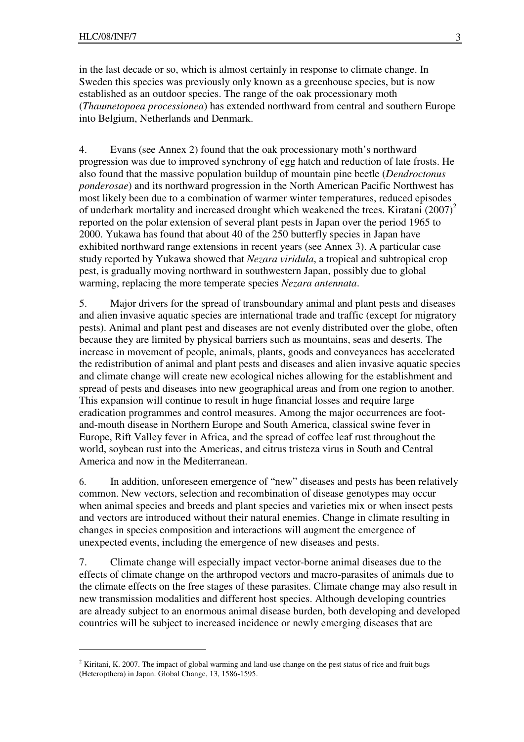$\overline{a}$ 

in the last decade or so, which is almost certainly in response to climate change. In Sweden this species was previously only known as a greenhouse species, but is now established as an outdoor species. The range of the oak processionary moth (*Thaumetopoea processionea*) has extended northward from central and southern Europe into Belgium, Netherlands and Denmark.

4. Evans (see Annex 2) found that the oak processionary moth's northward progression was due to improved synchrony of egg hatch and reduction of late frosts. He also found that the massive population buildup of mountain pine beetle (*Dendroctonus ponderosae*) and its northward progression in the North American Pacific Northwest has most likely been due to a combination of warmer winter temperatures, reduced episodes of underbark mortality and increased drought which weakened the trees. Kiratani  $(2007)^2$ reported on the polar extension of several plant pests in Japan over the period 1965 to 2000. Yukawa has found that about 40 of the 250 butterfly species in Japan have exhibited northward range extensions in recent years (see Annex 3). A particular case study reported by Yukawa showed that *Nezara viridula*, a tropical and subtropical crop pest, is gradually moving northward in southwestern Japan, possibly due to global warming, replacing the more temperate species *Nezara antennata*.

5. Major drivers for the spread of transboundary animal and plant pests and diseases and alien invasive aquatic species are international trade and traffic (except for migratory pests). Animal and plant pest and diseases are not evenly distributed over the globe, often because they are limited by physical barriers such as mountains, seas and deserts. The increase in movement of people, animals, plants, goods and conveyances has accelerated the redistribution of animal and plant pests and diseases and alien invasive aquatic species and climate change will create new ecological niches allowing for the establishment and spread of pests and diseases into new geographical areas and from one region to another. This expansion will continue to result in huge financial losses and require large eradication programmes and control measures. Among the major occurrences are footand-mouth disease in Northern Europe and South America, classical swine fever in Europe, Rift Valley fever in Africa, and the spread of coffee leaf rust throughout the world, soybean rust into the Americas, and citrus tristeza virus in South and Central America and now in the Mediterranean.

6. In addition, unforeseen emergence of "new" diseases and pests has been relatively common. New vectors, selection and recombination of disease genotypes may occur when animal species and breeds and plant species and varieties mix or when insect pests and vectors are introduced without their natural enemies. Change in climate resulting in changes in species composition and interactions will augment the emergence of unexpected events, including the emergence of new diseases and pests.

7. Climate change will especially impact vector-borne animal diseases due to the effects of climate change on the arthropod vectors and macro-parasites of animals due to the climate effects on the free stages of these parasites. Climate change may also result in new transmission modalities and different host species. Although developing countries are already subject to an enormous animal disease burden, both developing and developed countries will be subject to increased incidence or newly emerging diseases that are

<sup>&</sup>lt;sup>2</sup> Kiritani, K. 2007. The impact of global warming and land-use change on the pest status of rice and fruit bugs (Heteropthera) in Japan. Global Change, 13, 1586-1595.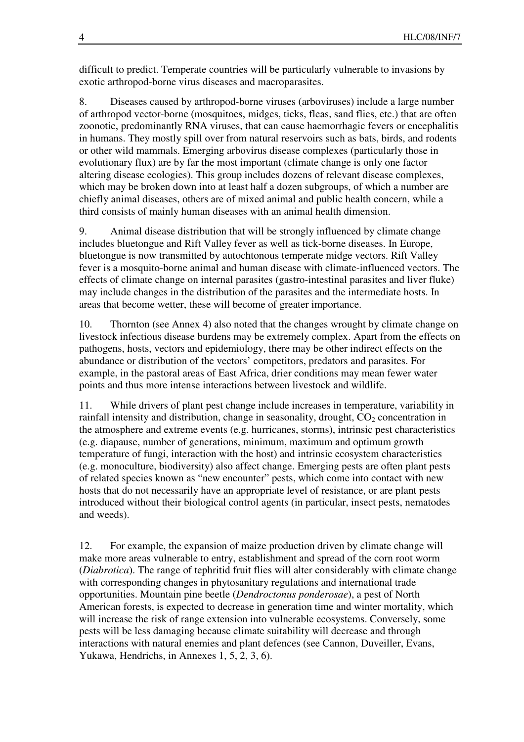difficult to predict. Temperate countries will be particularly vulnerable to invasions by exotic arthropod-borne virus diseases and macroparasites.

8. Diseases caused by arthropod-borne viruses (arboviruses) include a large number of arthropod vector-borne (mosquitoes, midges, ticks, fleas, sand flies, etc.) that are often zoonotic, predominantly RNA viruses, that can cause haemorrhagic fevers or encephalitis in humans. They mostly spill over from natural reservoirs such as bats, birds, and rodents or other wild mammals. Emerging arbovirus disease complexes (particularly those in evolutionary flux) are by far the most important (climate change is only one factor altering disease ecologies). This group includes dozens of relevant disease complexes, which may be broken down into at least half a dozen subgroups, of which a number are chiefly animal diseases, others are of mixed animal and public health concern, while a third consists of mainly human diseases with an animal health dimension.

9. Animal disease distribution that will be strongly influenced by climate change includes bluetongue and Rift Valley fever as well as tick-borne diseases. In Europe, bluetongue is now transmitted by autochtonous temperate midge vectors. Rift Valley fever is a mosquito-borne animal and human disease with climate-influenced vectors. The effects of climate change on internal parasites (gastro-intestinal parasites and liver fluke) may include changes in the distribution of the parasites and the intermediate hosts. In areas that become wetter, these will become of greater importance.

10. Thornton (see Annex 4) also noted that the changes wrought by climate change on livestock infectious disease burdens may be extremely complex. Apart from the effects on pathogens, hosts, vectors and epidemiology, there may be other indirect effects on the abundance or distribution of the vectors' competitors, predators and parasites. For example, in the pastoral areas of East Africa, drier conditions may mean fewer water points and thus more intense interactions between livestock and wildlife.

11. While drivers of plant pest change include increases in temperature, variability in rainfall intensity and distribution, change in seasonality, drought,  $CO<sub>2</sub>$  concentration in the atmosphere and extreme events (e.g. hurricanes, storms), intrinsic pest characteristics (e.g. diapause, number of generations, minimum, maximum and optimum growth temperature of fungi, interaction with the host) and intrinsic ecosystem characteristics (e.g. monoculture, biodiversity) also affect change. Emerging pests are often plant pests of related species known as "new encounter" pests, which come into contact with new hosts that do not necessarily have an appropriate level of resistance, or are plant pests introduced without their biological control agents (in particular, insect pests, nematodes and weeds).

12. For example, the expansion of maize production driven by climate change will make more areas vulnerable to entry, establishment and spread of the corn root worm (*Diabrotica*). The range of tephritid fruit flies will alter considerably with climate change with corresponding changes in phytosanitary regulations and international trade opportunities. Mountain pine beetle (*Dendroctonus ponderosae*), a pest of North American forests, is expected to decrease in generation time and winter mortality, which will increase the risk of range extension into vulnerable ecosystems. Conversely, some pests will be less damaging because climate suitability will decrease and through interactions with natural enemies and plant defences (see Cannon, Duveiller, Evans, Yukawa, Hendrichs, in Annexes 1, 5, 2, 3, 6).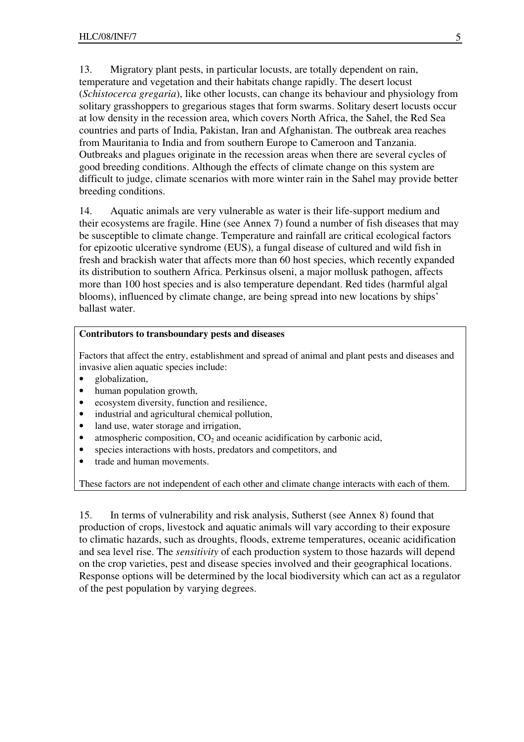13. Migratory plant pests, in particular locusts, are totally dependent on rain, temperature and vegetation and their habitats change rapidly. The desert locust (*Schistocerca gregaria*), like other locusts, can change its behaviour and physiology from solitary grasshoppers to gregarious stages that form swarms. Solitary desert locusts occur at low density in the recession area, which covers North Africa, the Sahel, the Red Sea countries and parts of India, Pakistan, Iran and Afghanistan. The outbreak area reaches from Mauritania to India and from southern Europe to Cameroon and Tanzania. Outbreaks and plagues originate in the recession areas when there are several cycles of good breeding conditions. Although the effects of climate change on this system are difficult to judge, climate scenarios with more winter rain in the Sahel may provide better breeding conditions.

14. Aquatic animals are very vulnerable as water is their life-support medium and their ecosystems are fragile. Hine (see Annex 7) found a number of fish diseases that may be susceptible to climate change. Temperature and rainfall are critical ecological factors for epizootic ulcerative syndrome (EUS), a fungal disease of cultured and wild fish in fresh and brackish water that affects more than 60 host species, which recently expanded its distribution to southern Africa. Perkinsus olseni, a major mollusk pathogen, affects more than 100 host species and is also temperature dependant. Red tides (harmful algal blooms), influenced by climate change, are being spread into new locations by ships' ballast water.

#### **Contributors to transboundary pests and diseases**

Factors that affect the entry, establishment and spread of animal and plant pests and diseases and invasive alien aquatic species include:

- globalization,
- human population growth,
- ecosystem diversity, function and resilience,
- industrial and agricultural chemical pollution,
- land use, water storage and irrigation,
- atmospheric composition,  $CO<sub>2</sub>$  and oceanic acidification by carbonic acid,
- species interactions with hosts, predators and competitors, and
- trade and human movements.

These factors are not independent of each other and climate change interacts with each of them.

15. In terms of vulnerability and risk analysis, Sutherst (see Annex 8) found that production of crops, livestock and aquatic animals will vary according to their exposure to climatic hazards, such as droughts, floods, extreme temperatures, oceanic acidification and sea level rise. The *sensitivity* of each production system to those hazards will depend on the crop varieties, pest and disease species involved and their geographical locations. Response options will be determined by the local biodiversity which can act as a regulator of the pest population by varying degrees.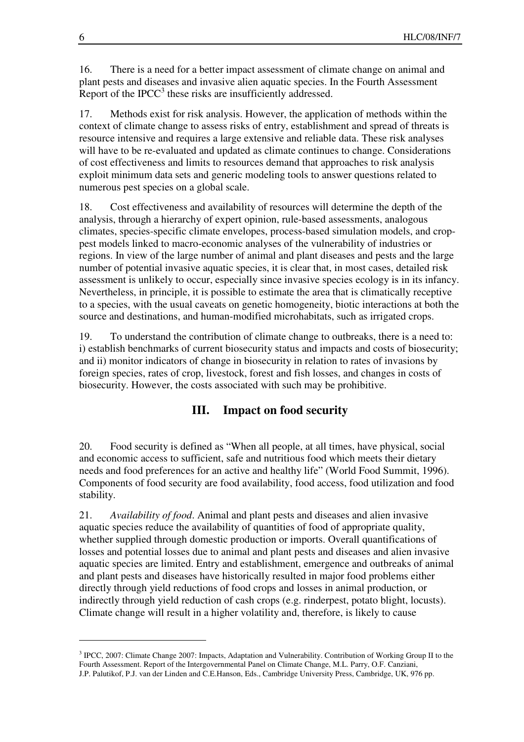16. There is a need for a better impact assessment of climate change on animal and plant pests and diseases and invasive alien aquatic species. In the Fourth Assessment Report of the IPCC $3$  these risks are insufficiently addressed.

17. Methods exist for risk analysis. However, the application of methods within the context of climate change to assess risks of entry, establishment and spread of threats is resource intensive and requires a large extensive and reliable data. These risk analyses will have to be re-evaluated and updated as climate continues to change. Considerations of cost effectiveness and limits to resources demand that approaches to risk analysis exploit minimum data sets and generic modeling tools to answer questions related to numerous pest species on a global scale.

18. Cost effectiveness and availability of resources will determine the depth of the analysis, through a hierarchy of expert opinion, rule-based assessments, analogous climates, species-specific climate envelopes, process-based simulation models, and croppest models linked to macro-economic analyses of the vulnerability of industries or regions. In view of the large number of animal and plant diseases and pests and the large number of potential invasive aquatic species, it is clear that, in most cases, detailed risk assessment is unlikely to occur, especially since invasive species ecology is in its infancy. Nevertheless, in principle, it is possible to estimate the area that is climatically receptive to a species, with the usual caveats on genetic homogeneity, biotic interactions at both the source and destinations, and human-modified microhabitats, such as irrigated crops.

19. To understand the contribution of climate change to outbreaks, there is a need to: i) establish benchmarks of current biosecurity status and impacts and costs of biosecurity; and ii) monitor indicators of change in biosecurity in relation to rates of invasions by foreign species, rates of crop, livestock, forest and fish losses, and changes in costs of biosecurity. However, the costs associated with such may be prohibitive.

### **III. Impact on food security**

20. Food security is defined as "When all people, at all times, have physical, social and economic access to sufficient, safe and nutritious food which meets their dietary needs and food preferences for an active and healthy life" (World Food Summit, 1996). Components of food security are food availability, food access, food utilization and food stability.

21. *Availability of food*. Animal and plant pests and diseases and alien invasive aquatic species reduce the availability of quantities of food of appropriate quality, whether supplied through domestic production or imports. Overall quantifications of losses and potential losses due to animal and plant pests and diseases and alien invasive aquatic species are limited. Entry and establishment, emergence and outbreaks of animal and plant pests and diseases have historically resulted in major food problems either directly through yield reductions of food crops and losses in animal production, or indirectly through yield reduction of cash crops (e.g. rinderpest, potato blight, locusts). Climate change will result in a higher volatility and, therefore, is likely to cause

<sup>&</sup>lt;sup>3</sup> IPCC, 2007: Climate Change 2007: Impacts, Adaptation and Vulnerability. Contribution of Working Group II to the Fourth Assessment. Report of the Intergovernmental Panel on Climate Change, M.L. Parry, O.F. Canziani, J.P. Palutikof, P.J. van der Linden and C.E.Hanson, Eds., Cambridge University Press, Cambridge, UK, 976 pp.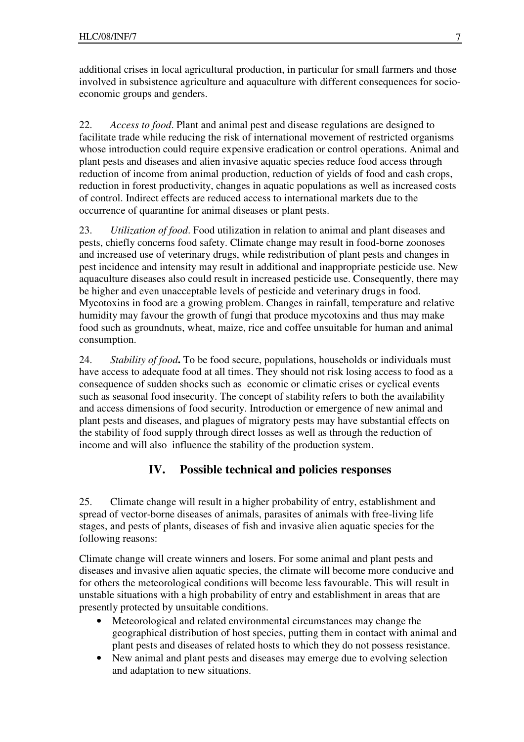additional crises in local agricultural production, in particular for small farmers and those involved in subsistence agriculture and aquaculture with different consequences for socioeconomic groups and genders.

22. *Access to food*. Plant and animal pest and disease regulations are designed to facilitate trade while reducing the risk of international movement of restricted organisms whose introduction could require expensive eradication or control operations. Animal and plant pests and diseases and alien invasive aquatic species reduce food access through reduction of income from animal production, reduction of yields of food and cash crops, reduction in forest productivity, changes in aquatic populations as well as increased costs of control. Indirect effects are reduced access to international markets due to the occurrence of quarantine for animal diseases or plant pests.

23. *Utilization of food*. Food utilization in relation to animal and plant diseases and pests, chiefly concerns food safety. Climate change may result in food-borne zoonoses and increased use of veterinary drugs, while redistribution of plant pests and changes in pest incidence and intensity may result in additional and inappropriate pesticide use. New aquaculture diseases also could result in increased pesticide use. Consequently, there may be higher and even unacceptable levels of pesticide and veterinary drugs in food. Mycotoxins in food are a growing problem. Changes in rainfall, temperature and relative humidity may favour the growth of fungi that produce mycotoxins and thus may make food such as groundnuts, wheat, maize, rice and coffee unsuitable for human and animal consumption.

24. *Stability of food***.** To be food secure, populations, households or individuals must have access to adequate food at all times. They should not risk losing access to food as a consequence of sudden shocks such as economic or climatic crises or cyclical events such as seasonal food insecurity. The concept of stability refers to both the availability and access dimensions of food security. Introduction or emergence of new animal and plant pests and diseases, and plagues of migratory pests may have substantial effects on the stability of food supply through direct losses as well as through the reduction of income and will also influence the stability of the production system.

### **IV. Possible technical and policies responses**

25. Climate change will result in a higher probability of entry, establishment and spread of vector-borne diseases of animals, parasites of animals with free-living life stages, and pests of plants, diseases of fish and invasive alien aquatic species for the following reasons:

Climate change will create winners and losers. For some animal and plant pests and diseases and invasive alien aquatic species, the climate will become more conducive and for others the meteorological conditions will become less favourable. This will result in unstable situations with a high probability of entry and establishment in areas that are presently protected by unsuitable conditions.

- Meteorological and related environmental circumstances may change the geographical distribution of host species, putting them in contact with animal and plant pests and diseases of related hosts to which they do not possess resistance.
- New animal and plant pests and diseases may emerge due to evolving selection and adaptation to new situations.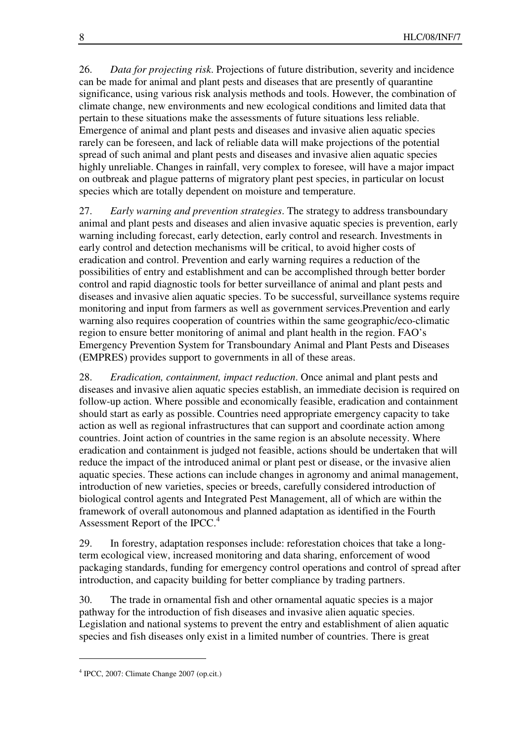26. *Data for projecting risk*. Projections of future distribution, severity and incidence can be made for animal and plant pests and diseases that are presently of quarantine significance, using various risk analysis methods and tools. However, the combination of climate change, new environments and new ecological conditions and limited data that pertain to these situations make the assessments of future situations less reliable. Emergence of animal and plant pests and diseases and invasive alien aquatic species rarely can be foreseen, and lack of reliable data will make projections of the potential spread of such animal and plant pests and diseases and invasive alien aquatic species highly unreliable. Changes in rainfall, very complex to foresee, will have a major impact on outbreak and plague patterns of migratory plant pest species, in particular on locust species which are totally dependent on moisture and temperature.

27. *Early warning and prevention strategies*. The strategy to address transboundary animal and plant pests and diseases and alien invasive aquatic species is prevention, early warning including forecast, early detection, early control and research. Investments in early control and detection mechanisms will be critical, to avoid higher costs of eradication and control. Prevention and early warning requires a reduction of the possibilities of entry and establishment and can be accomplished through better border control and rapid diagnostic tools for better surveillance of animal and plant pests and diseases and invasive alien aquatic species. To be successful, surveillance systems require monitoring and input from farmers as well as government services.Prevention and early warning also requires cooperation of countries within the same geographic/eco-climatic region to ensure better monitoring of animal and plant health in the region. FAO's Emergency Prevention System for Transboundary Animal and Plant Pests and Diseases (EMPRES) provides support to governments in all of these areas.

28. *Eradication, containment, impact reduction*. Once animal and plant pests and diseases and invasive alien aquatic species establish, an immediate decision is required on follow-up action. Where possible and economically feasible, eradication and containment should start as early as possible. Countries need appropriate emergency capacity to take action as well as regional infrastructures that can support and coordinate action among countries. Joint action of countries in the same region is an absolute necessity. Where eradication and containment is judged not feasible, actions should be undertaken that will reduce the impact of the introduced animal or plant pest or disease, or the invasive alien aquatic species. These actions can include changes in agronomy and animal management, introduction of new varieties, species or breeds, carefully considered introduction of biological control agents and Integrated Pest Management, all of which are within the framework of overall autonomous and planned adaptation as identified in the Fourth Assessment Report of the IPCC.<sup>4</sup>

29. In forestry, adaptation responses include: reforestation choices that take a longterm ecological view, increased monitoring and data sharing, enforcement of wood packaging standards, funding for emergency control operations and control of spread after introduction, and capacity building for better compliance by trading partners.

30. The trade in ornamental fish and other ornamental aquatic species is a major pathway for the introduction of fish diseases and invasive alien aquatic species. Legislation and national systems to prevent the entry and establishment of alien aquatic species and fish diseases only exist in a limited number of countries. There is great

<sup>4</sup> IPCC, 2007: Climate Change 2007 (op.cit.)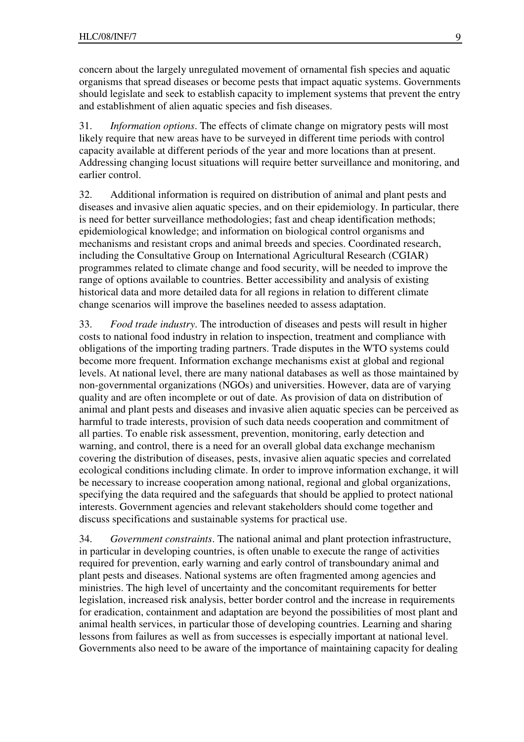concern about the largely unregulated movement of ornamental fish species and aquatic organisms that spread diseases or become pests that impact aquatic systems. Governments should legislate and seek to establish capacity to implement systems that prevent the entry and establishment of alien aquatic species and fish diseases.

31. *Information options*. The effects of climate change on migratory pests will most likely require that new areas have to be surveyed in different time periods with control capacity available at different periods of the year and more locations than at present. Addressing changing locust situations will require better surveillance and monitoring, and earlier control.

32. Additional information is required on distribution of animal and plant pests and diseases and invasive alien aquatic species, and on their epidemiology. In particular, there is need for better surveillance methodologies; fast and cheap identification methods; epidemiological knowledge; and information on biological control organisms and mechanisms and resistant crops and animal breeds and species. Coordinated research, including the Consultative Group on International Agricultural Research (CGIAR) programmes related to climate change and food security, will be needed to improve the range of options available to countries. Better accessibility and analysis of existing historical data and more detailed data for all regions in relation to different climate change scenarios will improve the baselines needed to assess adaptation.

33. *Food trade industry*. The introduction of diseases and pests will result in higher costs to national food industry in relation to inspection, treatment and compliance with obligations of the importing trading partners. Trade disputes in the WTO systems could become more frequent. Information exchange mechanisms exist at global and regional levels. At national level, there are many national databases as well as those maintained by non-governmental organizations (NGOs) and universities. However, data are of varying quality and are often incomplete or out of date. As provision of data on distribution of animal and plant pests and diseases and invasive alien aquatic species can be perceived as harmful to trade interests, provision of such data needs cooperation and commitment of all parties. To enable risk assessment, prevention, monitoring, early detection and warning, and control, there is a need for an overall global data exchange mechanism covering the distribution of diseases, pests, invasive alien aquatic species and correlated ecological conditions including climate. In order to improve information exchange, it will be necessary to increase cooperation among national, regional and global organizations, specifying the data required and the safeguards that should be applied to protect national interests. Government agencies and relevant stakeholders should come together and discuss specifications and sustainable systems for practical use.

34. *Government constraints*. The national animal and plant protection infrastructure, in particular in developing countries, is often unable to execute the range of activities required for prevention, early warning and early control of transboundary animal and plant pests and diseases. National systems are often fragmented among agencies and ministries. The high level of uncertainty and the concomitant requirements for better legislation, increased risk analysis, better border control and the increase in requirements for eradication, containment and adaptation are beyond the possibilities of most plant and animal health services, in particular those of developing countries. Learning and sharing lessons from failures as well as from successes is especially important at national level. Governments also need to be aware of the importance of maintaining capacity for dealing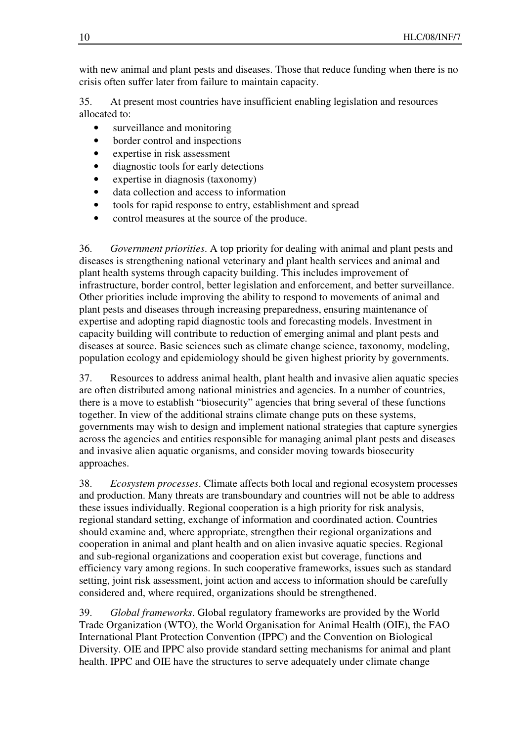with new animal and plant pests and diseases. Those that reduce funding when there is no crisis often suffer later from failure to maintain capacity.

35. At present most countries have insufficient enabling legislation and resources allocated to:

- surveillance and monitoring
- border control and inspections
- expertise in risk assessment
- diagnostic tools for early detections
- expertise in diagnosis (taxonomy)
- data collection and access to information
- tools for rapid response to entry, establishment and spread
- control measures at the source of the produce.

36. *Government priorities*. A top priority for dealing with animal and plant pests and diseases is strengthening national veterinary and plant health services and animal and plant health systems through capacity building. This includes improvement of infrastructure, border control, better legislation and enforcement, and better surveillance. Other priorities include improving the ability to respond to movements of animal and plant pests and diseases through increasing preparedness, ensuring maintenance of expertise and adopting rapid diagnostic tools and forecasting models. Investment in capacity building will contribute to reduction of emerging animal and plant pests and diseases at source. Basic sciences such as climate change science, taxonomy, modeling, population ecology and epidemiology should be given highest priority by governments.

37. Resources to address animal health, plant health and invasive alien aquatic species are often distributed among national ministries and agencies. In a number of countries, there is a move to establish "biosecurity" agencies that bring several of these functions together. In view of the additional strains climate change puts on these systems, governments may wish to design and implement national strategies that capture synergies across the agencies and entities responsible for managing animal plant pests and diseases and invasive alien aquatic organisms, and consider moving towards biosecurity approaches.

38. *Ecosystem processes*. Climate affects both local and regional ecosystem processes and production. Many threats are transboundary and countries will not be able to address these issues individually. Regional cooperation is a high priority for risk analysis, regional standard setting, exchange of information and coordinated action. Countries should examine and, where appropriate, strengthen their regional organizations and cooperation in animal and plant health and on alien invasive aquatic species. Regional and sub-regional organizations and cooperation exist but coverage, functions and efficiency vary among regions. In such cooperative frameworks, issues such as standard setting, joint risk assessment, joint action and access to information should be carefully considered and, where required, organizations should be strengthened.

39. *Global frameworks*. Global regulatory frameworks are provided by the World Trade Organization (WTO), the World Organisation for Animal Health (OIE), the FAO International Plant Protection Convention (IPPC) and the Convention on Biological Diversity. OIE and IPPC also provide standard setting mechanisms for animal and plant health. IPPC and OIE have the structures to serve adequately under climate change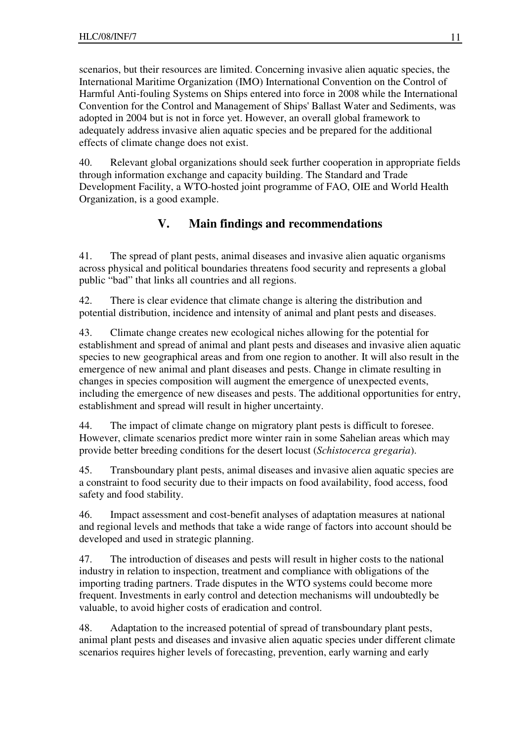scenarios, but their resources are limited. Concerning invasive alien aquatic species, the International Maritime Organization (IMO) International Convention on the Control of Harmful Anti-fouling Systems on Ships entered into force in 2008 while the International Convention for the Control and Management of Ships' Ballast Water and Sediments, was adopted in 2004 but is not in force yet. However, an overall global framework to adequately address invasive alien aquatic species and be prepared for the additional effects of climate change does not exist.

40. Relevant global organizations should seek further cooperation in appropriate fields through information exchange and capacity building. The Standard and Trade Development Facility, a WTO-hosted joint programme of FAO, OIE and World Health Organization, is a good example.

## **V. Main findings and recommendations**

41. The spread of plant pests, animal diseases and invasive alien aquatic organisms across physical and political boundaries threatens food security and represents a global public "bad" that links all countries and all regions.

42. There is clear evidence that climate change is altering the distribution and potential distribution, incidence and intensity of animal and plant pests and diseases.

43. Climate change creates new ecological niches allowing for the potential for establishment and spread of animal and plant pests and diseases and invasive alien aquatic species to new geographical areas and from one region to another. It will also result in the emergence of new animal and plant diseases and pests. Change in climate resulting in changes in species composition will augment the emergence of unexpected events, including the emergence of new diseases and pests. The additional opportunities for entry, establishment and spread will result in higher uncertainty.

44. The impact of climate change on migratory plant pests is difficult to foresee. However, climate scenarios predict more winter rain in some Sahelian areas which may provide better breeding conditions for the desert locust (*Schistocerca gregaria*).

45. Transboundary plant pests, animal diseases and invasive alien aquatic species are a constraint to food security due to their impacts on food availability, food access, food safety and food stability.

46. Impact assessment and cost-benefit analyses of adaptation measures at national and regional levels and methods that take a wide range of factors into account should be developed and used in strategic planning.

47. The introduction of diseases and pests will result in higher costs to the national industry in relation to inspection, treatment and compliance with obligations of the importing trading partners. Trade disputes in the WTO systems could become more frequent. Investments in early control and detection mechanisms will undoubtedly be valuable, to avoid higher costs of eradication and control.

48. Adaptation to the increased potential of spread of transboundary plant pests, animal plant pests and diseases and invasive alien aquatic species under different climate scenarios requires higher levels of forecasting, prevention, early warning and early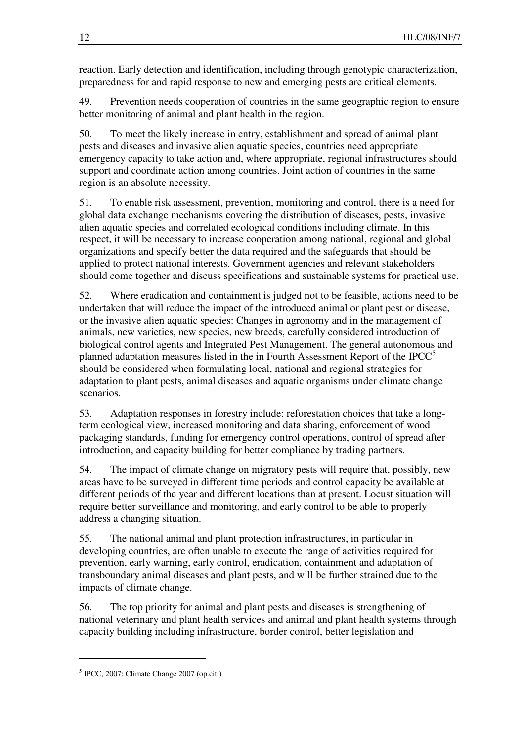reaction. Early detection and identification, including through genotypic characterization, preparedness for and rapid response to new and emerging pests are critical elements.

49. Prevention needs cooperation of countries in the same geographic region to ensure better monitoring of animal and plant health in the region.

50. To meet the likely increase in entry, establishment and spread of animal plant pests and diseases and invasive alien aquatic species, countries need appropriate emergency capacity to take action and, where appropriate, regional infrastructures should support and coordinate action among countries. Joint action of countries in the same region is an absolute necessity.

51. To enable risk assessment, prevention, monitoring and control, there is a need for global data exchange mechanisms covering the distribution of diseases, pests, invasive alien aquatic species and correlated ecological conditions including climate. In this respect, it will be necessary to increase cooperation among national, regional and global organizations and specify better the data required and the safeguards that should be applied to protect national interests. Government agencies and relevant stakeholders should come together and discuss specifications and sustainable systems for practical use.

52. Where eradication and containment is judged not to be feasible, actions need to be undertaken that will reduce the impact of the introduced animal or plant pest or disease, or the invasive alien aquatic species: Changes in agronomy and in the management of animals, new varieties, new species, new breeds, carefully considered introduction of biological control agents and Integrated Pest Management. The general autonomous and planned adaptation measures listed in the in Fourth Assessment Report of the IPCC $5$ should be considered when formulating local, national and regional strategies for adaptation to plant pests, animal diseases and aquatic organisms under climate change scenarios.

53. Adaptation responses in forestry include: reforestation choices that take a longterm ecological view, increased monitoring and data sharing, enforcement of wood packaging standards, funding for emergency control operations, control of spread after introduction, and capacity building for better compliance by trading partners.

54. The impact of climate change on migratory pests will require that, possibly, new areas have to be surveyed in different time periods and control capacity be available at different periods of the year and different locations than at present. Locust situation will require better surveillance and monitoring, and early control to be able to properly address a changing situation.

55. The national animal and plant protection infrastructures, in particular in developing countries, are often unable to execute the range of activities required for prevention, early warning, early control, eradication, containment and adaptation of transboundary animal diseases and plant pests, and will be further strained due to the impacts of climate change.

56. The top priority for animal and plant pests and diseases is strengthening of national veterinary and plant health services and animal and plant health systems through capacity building including infrastructure, border control, better legislation and

<sup>5</sup> IPCC, 2007: Climate Change 2007 (op.cit.)